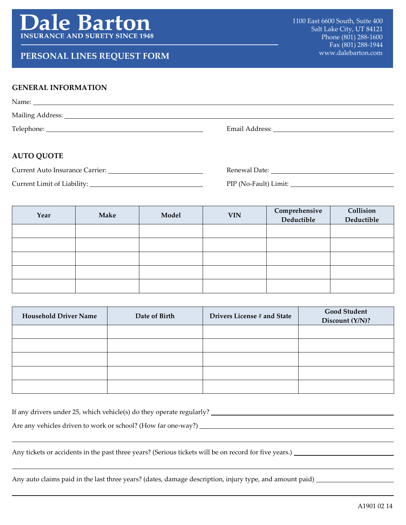## www.dalebarton.com **PERSONAL LINES REQUEST FORM**

## **GENERAL INFORMATION**

## **AUTO QUOTE**

Current Auto Insurance Carrier: Renewal Date:

Current Limit of Liability: PIP (No-Fault) Limit:

| Year | Make | Model | <b>VIN</b> | <b>Comprehensive</b><br>Deductible | Collision<br>Deductible |
|------|------|-------|------------|------------------------------------|-------------------------|
|      |      |       |            |                                    |                         |
|      |      |       |            |                                    |                         |
|      |      |       |            |                                    |                         |
|      |      |       |            |                                    |                         |
|      |      |       |            |                                    |                         |

| <b>Household Driver Name</b> | Date of Birth | Drivers License # and State | <b>Good Student</b><br>Discount (Y/N)? |
|------------------------------|---------------|-----------------------------|----------------------------------------|
|                              |               |                             |                                        |
|                              |               |                             |                                        |
|                              |               |                             |                                        |
|                              |               |                             |                                        |
|                              |               |                             |                                        |

| If any drivers under 25, which vehicle(s) do they operate regularly? |  |
|----------------------------------------------------------------------|--|
| Are any vehicles driven to work or school? (How far one-way?) _      |  |
|                                                                      |  |

Any tickets or accidents in the past three years? (Serious tickets will be on record for five years.)

Any auto claims paid in the last three years? (dates, damage description, injury type, and amount paid)